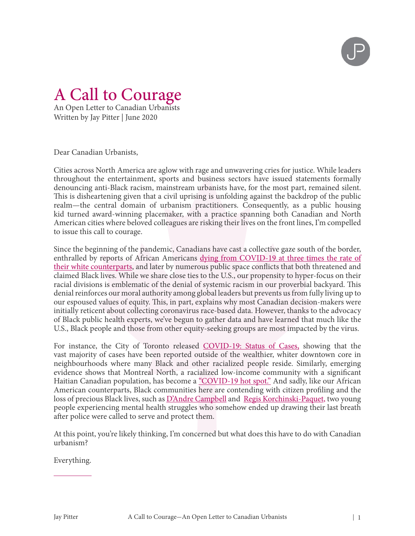

## A Call to Courage

An Open Letter to Canadian Urbanists Written by Jay Pitter | June 2020

Dear Canadian Urbanists,

Cities across North America are aglow with rage and unwavering cries for justice. While leaders throughout the entertainment, sports and business sectors have issued statements formally denouncing anti-Black racism, mainstream urbanists have, for the most part, remained silent. This is disheartening given that a civil uprising is unfolding against the backdrop of the public realm—the central domain of urbanism practitioners. Consequently, as a public housing kid turned award-winning placemaker, with a practice spanning both Canadian and North American cities where beloved colleagues are risking their lives on the front lines, I'm compelled to issue this call to courage.

Since the beginning of the pandemic, Canadians have cast a collective gaze south of the border, enthralled by reports of African Americans [dying from COVID-19 at three times the rate of](https://www.apmresearchlab.org/covid/deaths-by-race)  [their white counterparts,](https://www.apmresearchlab.org/covid/deaths-by-race) and later by numerous public space conflicts that both threatened and claimed Black lives. While we share close ties to the U.S., our propensity to hyper-focus on their racial divisions is emblematic of the denial of systemic racism in our proverbial backyard. This denial reinforces our moral authority among global leaders but prevents us from fully living up to our espoused values of equity. This, in part, explains why most Canadian decision-makers were initially reticent about collecting coronavirus race-based data. However, thanks to the advocacy of Black public health experts, we've begun to gather data and have learned that much like the U.S., Black people and those from other equity-seeking groups are most impacted by the virus.

For instance, the City of Toronto released [COVID-19: Status of Cases,](https://www.toronto.ca/home/covid-19/covid-19-latest-city-of-toronto-news/covid-19-status-of-cases-in-toronto/?fbclid=IwAR0EmZPkYaZWzzVPsv4Yjm4G6jnUpAtBNxlJo1jPipeb7kEzVy3QyX7ytR8) showing that the vast majority of cases have been reported outside of the wealthier, whiter downtown core in neighbourhoods where many Black and other racialized people reside. Similarly, emerging evidence shows that Montreal North, a racialized low-income community with a significant Haitian Canadian population, has become a <u>"COVID-19 hot spot."</u> And sadly, like our African American counterparts, Black communities here are contending with citizen profiling and the loss of precious Black lives, such as **D'Andre Campbell** and [Regis Korchinski-Paquet,](https://www.cbc.ca/news/canada/toronto/regis-korchinski-paquet-toronto-1.5596811) two young people experiencing mental health struggles who somehow ended up drawing their last breath after police were called to serve and protect them.

At this point, you're likely thinking, I'm concerned but what does this have to do with Canadian urbanism?

Everything.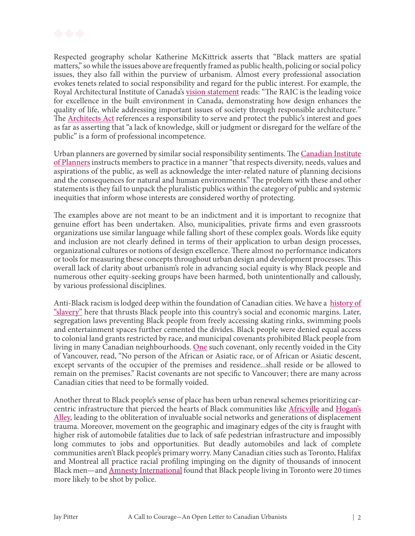

Respected geography scholar Katherine McKittrick asserts that "Black matters are spatial matters," so while the issues above are frequently framed as public health, policing or social policy issues, they also fall within the purview of urbanism. Almost every professional association evokes tenets related to social responsibility and regard for the public interest. For example, the Royal Architectural Institute of Canada's <u>vision statement</u> reads: "The RAIC is the leading voice for excellence in the built environment in Canada, demonstrating how design enhances the quality of life, while addressing important issues of society through responsible architecture*.*" The **Architects Act** references a responsibility to serve and protect the public's interest and goes as far as asserting that "a lack of knowledge, skill or judgment or disregard for the welfare of the public" is a form of professional incompetence.

Urban planners are governed by similar social responsibility sentiments. The Canadian Institute <u>of Planners</u> instructs members to practice in a manner "that respects diversity, needs, values and aspirations of the public, as well as acknowledge the inter-related nature of planning decisions and the consequences for natural and human environments." The problem with these and other statements is they fail to unpack the pluralistic publics within the category of public and systemic inequities that inform whose interests are considered worthy of protecting.

The examples above are not meant to be an indictment and it is important to recognize that genuine effort has been undertaken. Also, municipalities, private firms and even grassroots organizations use similar language while falling short of these complex goals. Words like equity and inclusion are not clearly defined in terms of their application to urban design processes, organizational cultures or notions of design excellence. There almost no performance indicators or tools for measuring these concepts throughout urban design and development processes. This overall lack of clarity about urbanism's role in advancing social equity is why Black people and numerous other equity-seeking groups have been harmed, both unintentionally and callously, by various professional disciplines.

Anti-Black racism is lodged deep within the foundation of Canadian cities. We have a [history of](https://thewalrus.ca/the-canadian-narrative-about-slavery-is-wrong/?gclid=Cj0KCQjwoPL2BRDxARIsAEMm9y8x23h8ppdxSe54uwk68ME0k6LW_-AoxRPyrycWZqT4kQqW_c7SheoaAo-eEALw_wcB)  ["slavery"](https://thewalrus.ca/the-canadian-narrative-about-slavery-is-wrong/?gclid=Cj0KCQjwoPL2BRDxARIsAEMm9y8x23h8ppdxSe54uwk68ME0k6LW_-AoxRPyrycWZqT4kQqW_c7SheoaAo-eEALw_wcB) here that thrusts Black people into this country's social and economic margins. Later, segregation laws preventing Black people from freely accessing skating rinks, swimming pools and entertainment spaces further cemented the divides. Black people were denied equal access to colonial land grants restricted by race, and municipal covenants prohibited Black people from living in many Canadian neighbourhoods. [One](https://www.cbc.ca/news/canada/british-columbia/land-covenants-1.5442686) such covenant, only recently voided in the City of Vancouver, read, "No person of the African or Asiatic race, or of African or Asiatic descent, except servants of the occupier of the premises and residence...shall reside or be allowed to remain on the premises." Racist covenants are not specific to Vancouver; there are many across Canadian cities that need to be formally voided.

Another threat to Black people's sense of place has been urban renewal schemes prioritizing car-centric infrastructure that pierced the hearts of Black communities like [Africville](http://spacing.ca/atlantic/2010/02/23/africville-reparations-40-years-later/) and Hogan's [Alley](https://www.cbc.ca/news/canada/british-columbia/remembering-hogan-s-alley-hub-of-vancouver-s-black-community-1.3448080), leading to the obliteration of invaluable social networks and generations of displacement trauma. Moreover, movement on the geographic and imaginary edges of the city is fraught with higher risk of automobile fatalities due to lack of safe pedestrian infrastructure and impossibly long commutes to jobs and opportunities. But deadly automobiles and lack of complete communities aren't Black people's primary worry. Many Canadian cities such as Toronto, Halifax and Montreal all practice racial profiling impinging on the dignity of thousands of innocent Black men—and [Amnesty International](https://www.amnesty.ca/blog/carding-and-anti-black-racism-canada) found that Black people living in Toronto were 20 times more likely to be shot by police.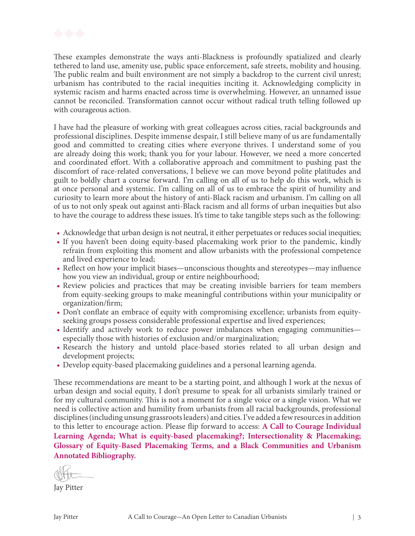

These examples demonstrate the ways anti-Blackness is profoundly spatialized and clearly tethered to land use, amenity use, public space enforcement, safe streets, mobility and housing. The public realm and built environment are not simply a backdrop to the current civil unrest; urbanism has contributed to the racial inequities inciting it. Acknowledging complicity in systemic racism and harms enacted across time is overwhelming. However, an unnamed issue cannot be reconciled. Transformation cannot occur without radical truth telling followed up with courageous action.

I have had the pleasure of working with great colleagues across cities, racial backgrounds and professional disciplines. Despite immense despair, I still believe many of us are fundamentally good and committed to creating cities where everyone thrives. I understand some of you are already doing this work; thank you for your labour. However, we need a more concerted and coordinated effort. With a collaborative approach and commitment to pushing past the discomfort of race-related conversations, I believe we can move beyond polite platitudes and guilt to boldly chart a course forward. I'm calling on all of us to help do this work, which is at once personal and systemic. I'm calling on all of us to embrace the spirit of humility and curiosity to learn more about the history of anti-Black racism and urbanism. I'm calling on all of us to not only speak out against anti-Black racism and all forms of urban inequities but also to have the courage to address these issues. It's time to take tangible steps such as the following:

- Acknowledge that urban design is not neutral, it either perpetuates or reduces social inequities;
- If you haven't been doing equity-based placemaking work prior to the pandemic, kindly refrain from exploiting this moment and allow urbanists with the professional competence and lived experience to lead;
- Reflect on how your implicit biases—unconscious thoughts and stereotypes—may influence how you view an individual, group or entire neighbourhood;
- Review policies and practices that may be creating invisible barriers for team members from equity-seeking groups to make meaningful contributions within your municipality or organization/firm;
- Don't conflate an embrace of equity with compromising excellence; urbanists from equityseeking groups possess considerable professional expertise and lived experiences;
- Identify and actively work to reduce power imbalances when engaging communities especially those with histories of exclusion and/or marginalization;
- Research the history and untold place-based stories related to all urban design and development projects;
- Develop equity-based placemaking guidelines and a personal learning agenda.

These recommendations are meant to be a starting point, and although I work at the nexus of urban design and social equity, I don't presume to speak for all urbanists similarly trained or for my cultural community. This is not a moment for a single voice or a single vision. What we need is collective action and humility from urbanists from all racial backgrounds, professional disciplines (including unsung grassroots leaders) and cities. I've added a few resources in addition to this letter to encourage action. Please flip forward to access: **A Call to Courage Individual Learning Agenda; What is equity-based placemaking?; Intersectionality & Placemaking; Glossary of Equity-Based Placemaking Terms, and a Black Communities and Urbanism Annotated Bibliography.**

Jay Pitter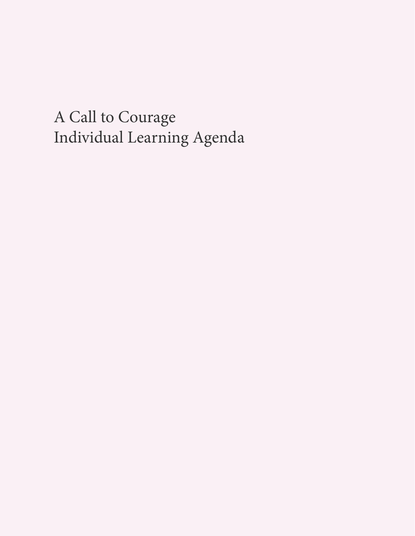A Call to Courage Individual Learning Agenda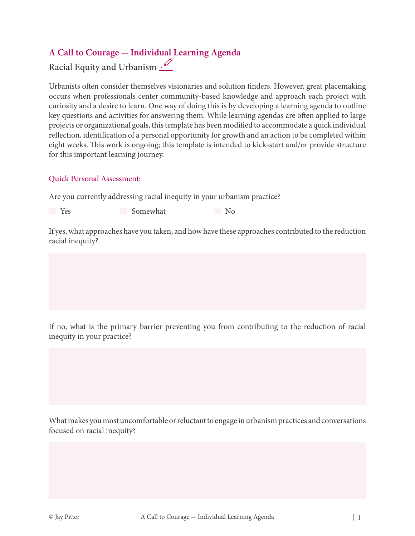## **A Call to Courage - Individual Learning Agenda**

Racial Equity and Urbanism .

Urbanists often consider themselves visionaries and solution finders. However, great placemaking occurs when professionals center community-based knowledge and approach each project with curiosity and a desire to learn. One way of doing this is by developing a learning agenda to outline key questions and activities for answering them. While learning agendas are often applied to large projects or organizational goals, this template has been modified to accommodate a quick individual reflection, identification of a personal opportunity for growth and an action to be completed within eight weeks. This work is ongoing; this template is intended to kick-start and/or provide structure for this important learning journey.

#### Quick Personal Assessment:

Are you currently addressing racial inequity in your urbanism practice?

Yes Somewhat No

If yes, what approaches have you taken, and how have these approaches contributed to the reduction racial inequity?

If no, what is the primary barrier preventing you from contributing to the reduction of racial inequity in your practice?

What makes you most uncomfortable or reluctant to engage in urbanism practices and conversations focused on racial inequity?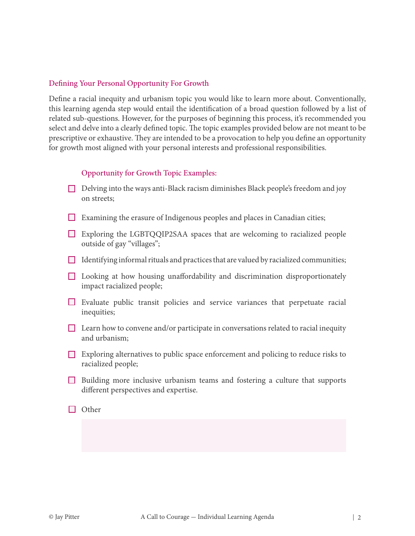#### Defining Your Personal Opportunity For Growth

Define a racial inequity and urbanism topic you would like to learn more about. Conventionally, this learning agenda step would entail the identification of a broad question followed by a list of related sub-questions. However, for the purposes of beginning this process, it's recommended you select and delve into a clearly defined topic. The topic examples provided below are not meant to be prescriptive or exhaustive. They are intended to be a provocation to help you define an opportunity for growth most aligned with your personal interests and professional responsibilities.

#### Opportunity for Growth Topic Examples:

- $\Box$  Delving into the ways anti-Black racism diminishes Black people's freedom and joy on streets;
- Examining the erasure of Indigenous peoples and places in Canadian cities;
- Exploring the LGBTQQIP2SAA spaces that are welcoming to racialized people outside of gay "villages";
- $\Box$  Identifying informal rituals and practices that are valued by racialized communities;
- Looking at how housing unaffordability and discrimination disproportionately impact racialized people;
- Evaluate public transit policies and service variances that perpetuate racial inequities;
- $\Box$  Learn how to convene and/or participate in conversations related to racial inequity and urbanism;
- $\Box$  Exploring alternatives to public space enforcement and policing to reduce risks to racialized people;
- Building more inclusive urbanism teams and fostering a culture that supports different perspectives and expertise.
- $\Box$  Other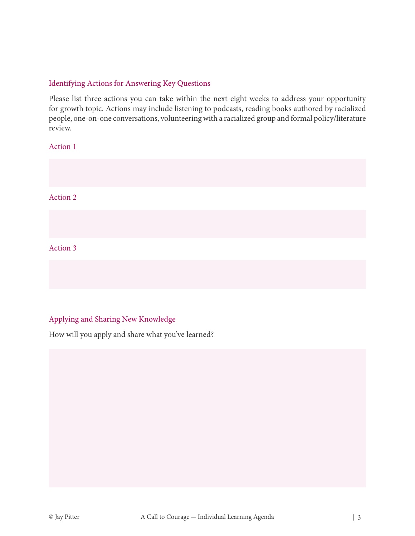#### Identifying Actions for Answering Key Questions

Please list three actions you can take within the next eight weeks to address your opportunity for growth topic. Actions may include listening to podcasts, reading books authored by racialized people, one-on-one conversations, volunteering with a racialized group and formal policy/literature review.

Action 1

Action 2

#### Action 3

#### Applying and Sharing New Knowledge

How will you apply and share what you've learned?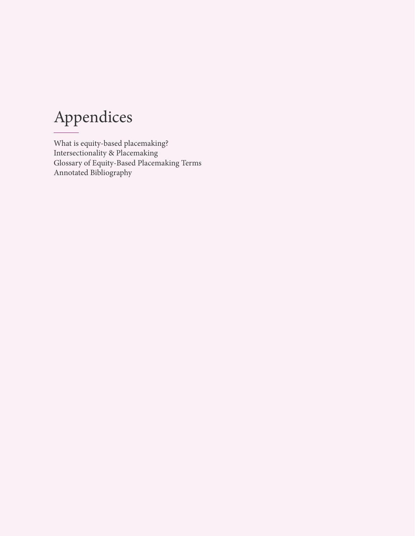# Appendices

What is equity-based placemaking? Intersectionality & Placemaking Glossary of Equity-Based Placemaking Terms Annotated Bibliography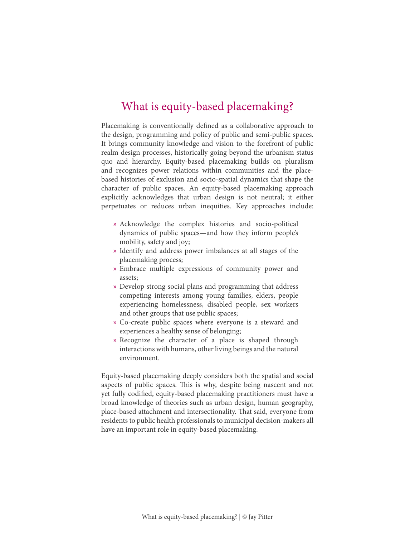## What is equity-based placemaking?

Placemaking is conventionally defined as a collaborative approach to the design, programming and policy of public and semi-public spaces. It brings community knowledge and vision to the forefront of public realm design processes, historically going beyond the urbanism status quo and hierarchy. Equity-based placemaking builds on pluralism and recognizes power relations within communities and the placebased histories of exclusion and socio-spatial dynamics that shape the character of public spaces. An equity-based placemaking approach explicitly acknowledges that urban design is not neutral; it either perpetuates or reduces urban inequities. Key approaches include:

- » Acknowledge the complex histories and socio-political dynamics of public spaces—and how they inform people's mobility, safety and joy;
- » Identify and address power imbalances at all stages of the placemaking process;
- » Embrace multiple expressions of community power and assets;
- » Develop strong social plans and programming that address competing interests among young families, elders, people experiencing homelessness, disabled people, sex workers and other groups that use public spaces;
- » Co-create public spaces where everyone is a steward and experiences a healthy sense of belonging;
- » Recognize the character of a place is shaped through interactions with humans, other living beings and the natural environment.

Equity-based placemaking deeply considers both the spatial and social aspects of public spaces. This is why, despite being nascent and not yet fully codified, equity-based placemaking practitioners must have a broad knowledge of theories such as urban design, human geography, place-based attachment and intersectionality. That said, everyone from residents to public health professionals to municipal decision-makers all have an important role in equity-based placemaking.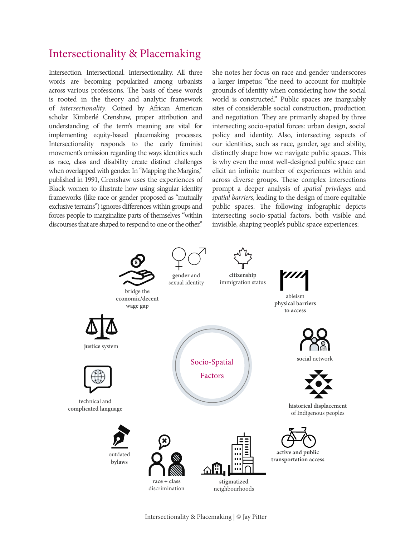## Intersectionality & Placemaking

Intersection. Intersectional. Intersectionality. All three words are becoming popularized among urbanists across various professions. The basis of these words is rooted in the theory and analytic framework of *intersectionality*. Coined by African American scholar Kimberlé Crenshaw, proper attribution and understanding of the term's meaning are vital for implementing equity-based placemaking processes. Intersectionality responds to the early feminist movement's omission regarding the ways identities such as race, class and disability create distinct challenges when overlapped with gender. In "Mapping the Margins," published in 1991, Crenshaw uses the experiences of Black women to illustrate how using singular identity frameworks (like race or gender proposed as "mutually exclusive terrains") ignores differences within groups and forces people to marginalize parts of themselves "within discourses that are shaped to respond to one or the other."

She notes her focus on race and gender underscores a larger impetus: "the need to account for multiple grounds of identity when considering how the social world is constructed." Public spaces are inarguably sites of considerable social construction, production and negotiation. They are primarily shaped by three intersecting socio-spatial forces: urban design, social policy and identity. Also, intersecting aspects of our identities, such as race, gender, age and ability, distinctly shape how we navigate public spaces. This is why even the most well-designed public space can elicit an infinite number of experiences within and across diverse groups. These complex intersections prompt a deeper analysis of *spatial privileges* and *spatial barriers,* leading to the design of more equitable public spaces. The following infographic depicts intersecting socio-spatial factors, both visible and invisible, shaping people's public space experiences:

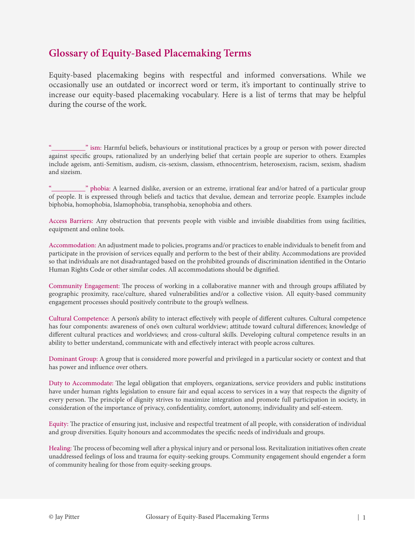## **Glossary of Equity-Based Placemaking Terms**

Equity-based placemaking begins with respectful and informed conversations. While we occasionally use an outdated or incorrect word or term, it's important to continually strive to increase our equity-based placemaking vocabulary. Here is a list of terms that may be helpful during the course of the work.

" ism: Harmful beliefs, behaviours or institutional practices by a group or person with power directed against specific groups, rationalized by an underlying belief that certain people are superior to others. Examples include ageism, anti-Semitism, audism, cis-sexism, classism, ethnocentrism, heterosexism, racism, sexism, shadism and sizeism.

whobia: A learned dislike, aversion or an extreme, irrational fear and/or hatred of a particular group of people. It is expressed through beliefs and tactics that devalue, demean and terrorize people. Examples include biphobia, homophobia, Islamophobia, transphobia, xenophobia and others.

Access Barriers: Any obstruction that prevents people with visible and invisible disabilities from using facilities, equipment and online tools.

Accommodation: An adjustment made to policies, programs and/or practices to enable individuals to benefit from and participate in the provision of services equally and perform to the best of their ability. Accommodations are provided so that individuals are not disadvantaged based on the prohibited grounds of discrimination identified in the Ontario Human Rights Code or other similar codes. All accommodations should be dignified.

Community Engagement: The process of working in a collaborative manner with and through groups affiliated by geographic proximity, race/culture, shared vulnerabilities and/or a collective vision. All equity-based community engagement processes should positively contribute to the group's wellness.

Cultural Competence: A person's ability to interact effectively with people of different cultures. Cultural competence has four components: awareness of one's own cultural worldview; attitude toward cultural differences; knowledge of different cultural practices and worldviews; and cross-cultural skills. Developing cultural competence results in an ability to better understand, communicate with and effectively interact with people across cultures.

Dominant Group: A group that is considered more powerful and privileged in a particular society or context and that has power and influence over others.

Duty to Accommodate: The legal obligation that employers, organizations, service providers and public institutions have under human rights legislation to ensure fair and equal access to services in a way that respects the dignity of every person. The principle of dignity strives to maximize integration and promote full participation in society, in consideration of the importance of privacy, confidentiality, comfort, autonomy, individuality and self-esteem.

Equity: The practice of ensuring just, inclusive and respectful treatment of all people, with consideration of individual and group diversities. Equity honours and accommodates the specific needs of individuals and groups.

Healing: The process of becoming well after a physical injury and or personal loss. Revitalization initiatives often create unaddressed feelings of loss and trauma for equity-seeking groups. Community engagement should engender a form of community healing for those from equity-seeking groups.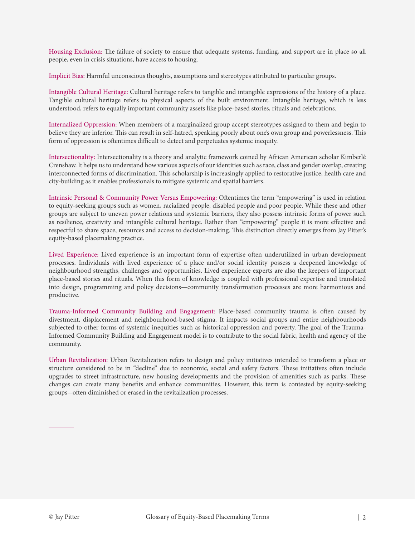Housing Exclusion: The failure of society to ensure that adequate systems, funding, and support are in place so all people, even in crisis situations, have access to housing.

Implicit Bias: Harmful unconscious thoughts, assumptions and stereotypes attributed to particular groups.

Intangible Cultural Heritage: Cultural heritage refers to tangible and intangible expressions of the history of a place. Tangible cultural heritage refers to physical aspects of the built environment. Intangible heritage, which is less understood, refers to equally important community assets like place-based stories, rituals and celebrations.

Internalized Oppression: When members of a marginalized group accept stereotypes assigned to them and begin to believe they are inferior. This can result in self-hatred, speaking poorly about one's own group and powerlessness. This form of oppression is oftentimes difficult to detect and perpetuates systemic inequity.

Intersectionality: Intersectionality is a theory and analytic framework coined by African American scholar Kimberlé Crenshaw. It helps us to understand how various aspects of our identities such as race, class and gender overlap, creating interconnected forms of discrimination. This scholarship is increasingly applied to restorative justice, health care and city-building as it enables professionals to mitigate systemic and spatial barriers.

Intrinsic Personal & Community Power Versus Empowering: Oftentimes the term "empowering" is used in relation to equity-seeking groups such as women, racialized people, disabled people and poor people. While these and other groups are subject to uneven power relations and systemic barriers, they also possess intrinsic forms of power such as resilience, creativity and intangible cultural heritage. Rather than "empowering" people it is more effective and respectful to share space, resources and access to decision-making. This distinction directly emerges from Jay Pitter's equity-based placemaking practice.

Lived Experience: Lived experience is an important form of expertise often underutilized in urban development processes. Individuals with lived experience of a place and/or social identity possess a deepened knowledge of neighbourhood strengths, challenges and opportunities. Lived experience experts are also the keepers of important place-based stories and rituals. When this form of knowledge is coupled with professional expertise and translated into design, programming and policy decisions—community transformation processes are more harmonious and productive.

Trauma-Informed Community Building and Engagement: Place-based community trauma is often caused by divestment, displacement and neighbourhood-based stigma. It impacts social groups and entire neighbourhoods subjected to other forms of systemic inequities such as historical oppression and poverty. The goal of the Trauma-Informed Community Building and Engagement model is to contribute to the social fabric, health and agency of the community.

Urban Revitalization: Urban Revitalization refers to design and policy initiatives intended to transform a place or structure considered to be in "decline" due to economic, social and safety factors. These initiatives often include upgrades to street infrastructure, new housing developments and the provision of amenities such as parks. These changes can create many benefits and enhance communities. However, this term is contested by equity-seeking groups-often diminished or erased in the revitalization processes.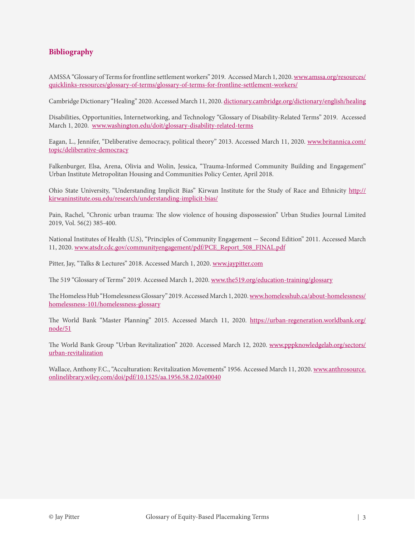#### **Bibliography**

AMSSA "Glossary of Terms for frontline settlement workers" 2019. Accessed March 1, 2020. [www.amssa.org/resources/](http://www.amssa.org/resources/quicklinks-resources/glossary-of-terms/glossary-of-terms-for-frontline-settlement-workers/ ) [quicklinks-resources/glossary-of-terms/glossary-of-terms-for-frontline-settlement-workers/](http://www.amssa.org/resources/quicklinks-resources/glossary-of-terms/glossary-of-terms-for-frontline-settlement-workers/ )

Cambridge Dictionary "Healing" 2020. Accessed March 11, 2020. [dictionary.cambridge.org/dictionary/english/healing](http://dictionary.cambridge.org/dictionary/english/healing )

Disabilities, Opportunities, Internetworking, and Technology "Glossary of Disability-Related Terms" 2019. Accessed March 1, 2020. [www.washington.edu/doit/glossary-disability-related-terms](http://www.washington.edu/doit/glossary-disability-related-terms)

Eagan, L., Jennifer, "Deliberative democracy, political theory" 2013. Accessed March 11, 2020. [www.britannica.com/](http://www.britannica.com/topic/deliberative-democracy) [topic/deliberative-democracy](http://www.britannica.com/topic/deliberative-democracy)

Falkenburger, Elsa, Arena, Olivia and Wolin, Jessica, "Trauma-Informed Community Building and Engagement" Urban Institute Metropolitan Housing and Communities Policy Center, April 2018.

Ohio State University, "Understanding Implicit Bias" Kirwan Institute for the Study of Race and Ethnicity [http://](http://kirwaninstitute.osu.edu/research/understanding-implicit-bias/) [kirwaninstitute.osu.edu/research/understanding-implicit-bias/](http://kirwaninstitute.osu.edu/research/understanding-implicit-bias/)

Pain, Rachel, "Chronic urban trauma: The slow violence of housing dispossession" Urban Studies Journal Limited 2019, Vol. 56(2) 385-400.

National Institutes of Health (U.S), "Principles of Community Engagement - Second Edition" 2011. Accessed March 11, 2020. [www.atsdr.cdc.gov/communityengagement/pdf/PCE\\_Report\\_508\\_FINAL.pdf](http://www.atsdr.cdc.gov/communityengagement/pdf/PCE_Report_508_FINAL.pdf)

Pitter, Jay, "Talks & Lectures" 2018. Accessed March 1, 2020. [www.jaypitter.com](http://www.jaypitter.com)

The 519 "Glossary of Terms" 2019. Accessed March 1, 2020. [www.the519.org/education-training/glossary](http://www.the519.org/education-training/glossary)

The Homeless Hub "Homelessness Glossary" 2019. Accessed March 1, 2020. [www.homelesshub.ca/about-homelessness/](http://www.homelesshub.ca/about-homelessness/homelessness-101/homelessness-glossary) [homelessness-101/homelessness-glossary](http://www.homelesshub.ca/about-homelessness/homelessness-101/homelessness-glossary)

The W[or](http://urban-regeneration.worldbank.org/node/51 )ld Bank "Master Planning" 2015. Accessed March 11, 2020. [https://urban-regeneration.worldbank.org/](https://urban-regeneration.worldbank.org/node/51) [node/51](https://urban-regeneration.worldbank.org/node/51)

The World Bank Group "Urban Revitalization" 2020. Accessed March 12, 2020. [www.pppknowledgelab.org/sectors/](http://www.pppknowledgelab.org/sectors/urban-revitalization ) [urban-revitalization](http://www.pppknowledgelab.org/sectors/urban-revitalization )

Wallace, Anthony F.C., "Acculturation: Revitalization Movements" 1956. Accessed March 11, 2020. [www.anthrosource.](http://www.anthrosource.onlinelibrary.wiley.com/doi/pdf/10.1525/aa.1956.58.2.02a00040) [onlinelibrary.wiley.com/doi/pdf/10.1525/aa.1956.58.2.02a00040](http://www.anthrosource.onlinelibrary.wiley.com/doi/pdf/10.1525/aa.1956.58.2.02a00040)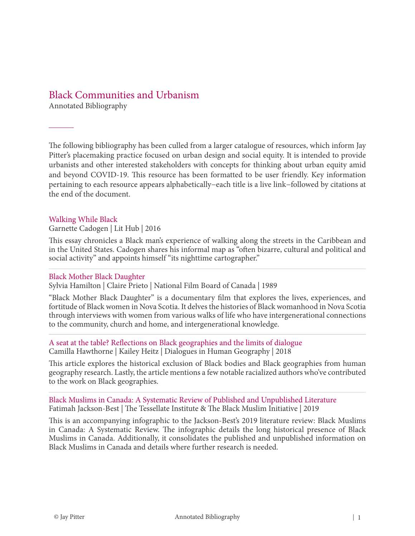### Black Communities and Urbanism

Annotated Bibliography

The following bibliography has been culled from a larger catalogue of resources, which inform Jay Pitter's placemaking practice focused on urban design and social equity. It is intended to provide urbanists and other interested stakeholders with concepts for thinking about urban equity amid and beyond COVID-19. This resource has been formatted to be user friendly. Key information pertaining to each resource appears alphabetically−each title is a live link−followed by citations at the end of the document.

#### [Walking While Black](https://lithub.com/walking-while-black/)

Garnette Cadogen | Lit Hub | 2016

This essay chronicles a Black man's experience of walking along the streets in the Caribbean and in the United States. Cadogen shares his informal map as "often bizarre, cultural and political and [s](http://nfb.ca/film/black_mother_black_daughter/)ocial activity" and appoints himself "its nighttime cartographer."

#### [Black Mother Black Daughter](http://nfb.ca/film/black_mother_black_daughter/)

Sylvia Hamilton | Claire Prieto | National Film Board of Canada | 1989

"Black Mother Black Daughter" is a documentary film that explores the lives, experiences, and fortitude of Black women in Nova Scotia. It delves the histories of Black womanhood in Nova Scotia through interviews with women from various walks of life who have intergenerational connections to the community, church and home, and intergenerational knowledge.

#### [A seat at the table? Reflections on Black geographies and the limits of dialogue](https://doi.org/10.1177/2043820618780578) Camilla Hawthorne | Kailey Heitz | Dialogues in Human Geography | 2018

This article explores the historical exclusion of Black bodies and Black geographies from human geography research. Lastly, the article mentions a few notable racialized authors who've contributed to the work on Black geographies.

#### [Black Muslims in Canada: A Systematic Review of Published and Unpublished Literature](http://tessellateinstitute.com/wp-content/uploads/2019/02/INFOGRAPHIC_Black-Muslims-in-Canada_A-Systematic-Review.pdf) Fatimah Jackson-Best | The Tessellate Institute & The Black Muslim Initiative | 2019

This is an accompanying infographic to the Jackson-Best's 2019 literature review: Black Muslims in Canada: A Systematic Review. The infographic details the long historical presence of Black Muslims in Canada. Additionally, it consolidates the published and unpublished information on Black Muslims in Canada and details where further research is needed.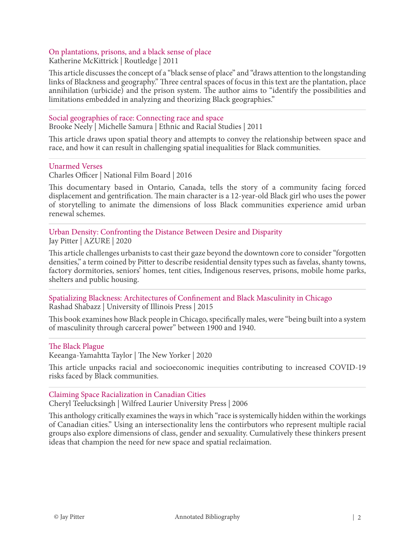### [On plantations, prisons, and a black sense of place](https://doi.org/10.1080/14649365.2011.624280)

Katherine McKittrick | Routledge | 2011

This article discusses the concept of a "black sense of place" and "draws attention to the longstanding links of Blackness and geography." Three central spaces of focus in this text are the plantation, place annihilation (urbicide) and the prison system. The author aims to "identify the possibilities and limitations embedded in analyzing and theorizing Black geographies."

#### [Social geographies of race: Connecting race and space](https://doi.org/10.1080/01419870.2011.559262)

Brooke Neely | Michelle Samura | Ethnic and Racial Studies | 2011

This article draws upon spatial theory and attempts to convey the relationship between space and race, and how it can result in challenging spatial inequalities for Black communities.

#### [U](https://www.nfb.ca/film/unarmed_verses/)narmed Verses

Charles Officer | National Film Board | 2016

This documentary based in Ontario, Canada, tells the story of a community facing forced displacement and gentrification. The main character is a 12-year-old Black girl who uses the power of storytelling to animate the dimensions of loss Black communities experience amid urban renewal schemes.

[Urban Density: Confronting the Distance Between Desire and Disparity](https://www.azuremagazine.com/article/urban-density-confronting-the-distance-between-desire-and-disparity/) Jay Pitter | AZURE | 2020

This article challenges urbanists to cast their gaze beyond the downtown core to consider "forgotten densities," a term coined by Pitter to describe residential density types such as favelas, shanty towns, factory dormitories, seniors' homes, tent cities, Indigenous reserves, prisons, mobile home parks, shelters and public housing.

[Spatializing Blackness: Architectures of Confinement and Black Masculinity in Chicago](https://www.press.uillinois.edu/books/catalog/52nwq3by9780252039645.html) Rashad Shabazz | University of Illinois Press | 2015

This book examines how Black people in Chicago, specifically males, were "being built into a system of masculinity through carceral power" between 1900 and 1940.

#### [The Black Plague](https://www.newyorker.com/news/our-columnists/the-black-plague)

Keeanga-Yamahtta Taylor | The New Yorker | 2020

This article unpacks racial and socioeconomic inequities contributing to increased COVID-19 risks faced by Black communities.

#### [Claiming Space Racialization in Canadian Cities](https://www.wlupress.wlu.ca/Books/C/Claiming-Space)

Cheryl Teelucksingh | Wilfred Laurier University Press | 2006

This anthology critically examines the ways in which "race is systemically hidden within the workings of Canadian cities." Using an intersectionality lens the contirbutors who represent multiple racial groups also explore dimensions of class, gender and sexuality. Cumulatively these thinkers present ideas that champion the need for new space and spatial reclaimation.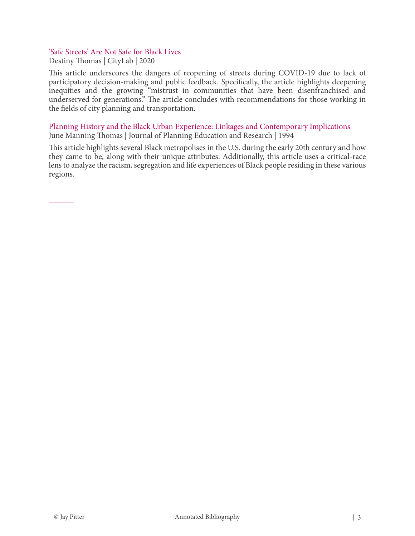## ['Safe Streets' Are Not Safe for Black Lives](https://www.citylab.com/perspective/2020/06/open-streets-transportation-planning-urban-design-racism/612763/?utm_source=twb)

Destiny Thomas | CityLab | 2020

This article underscores the dangers of reopening of streets during COVID-19 due to lack of participatory decision-making and public feedback. Specifically, the article highlights deepening inequities and the growing "mistrust in communities that have been disenfranchised and underserved for generations." The article concludes with recommendations for those working in the fields of city planning and transportation.

[Planning History and the Black Urban Experience: Linkages and Contemporary Implications](https://doi.org/10.1177/0739456X9401400101) June Manning Thomas | Journal of Planning Education and Research | 1994

This article highlights several Black metropolises in the U.S. during the early 20th century and how they came to be, along with their unique attributes. Additionally, this article uses a critical-race lens to analyze the racism, segregation and life experiences of Black people residing in these various regions.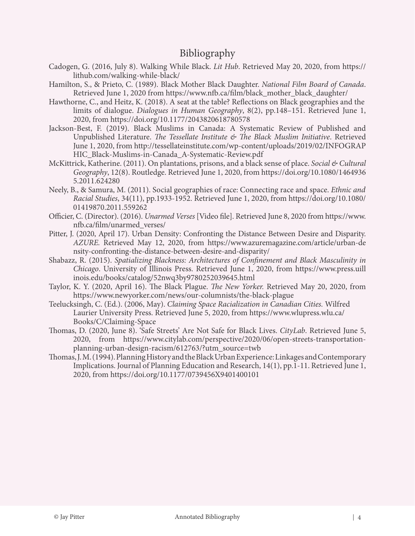## Bibliography

- Cadogen, G. (2016, July 8). Walking While Black. *Lit Hub*. Retrieved May 20, 2020, from [https://](https://lithub.com/walking-while-black/) [lithub.com/walking-while-black/](https://lithub.com/walking-while-black/)
- Hamilton, S., & Prieto, C. (1989). Black Mother Black Daughter. *National Film Board of Canada*. Retrieved June 1, 2020 from [https://www.nfb.ca/film/black\\_mother\\_black\\_daughter/](https://www.nfb.ca/film/black_mother_black_daughter/)
- Hawthorne, C., and Heitz, K. (2018). A seat at the table? Reflections on Black geographies and the limits of dialogue. *Dialogues in Human Geography*, 8(2), pp.148–151. Retrieved June 1, 2020, fro[m https://doi.org/10.1177/2043820618780578](https://doi.org/10.1177/2043820618780578)
- Jackson-Best, F. (2019). Black Muslims in Canada: A Systematic Review of Published and Unpublished Literature. *The Tessellate Institute & The Black Muslim Initiative*. Retrieved June 1, 2020, from [http://tessellateinstitute.com/wp-content/uploads/2019/02/INFOGRAP](http://tessellateinstitute.com/wp-content/uploads/2019/02/INFOGRAPHIC_Black-Muslims-in-Canada_A-Systematic-Review.pdf) [HIC\\_Black-Muslims-in-Canada\\_A-Systematic-Review.pdf](http://tessellateinstitute.com/wp-content/uploads/2019/02/INFOGRAPHIC_Black-Muslims-in-Canada_A-Systematic-Review.pdf)
- McKittrick, Katherine. (2011). On plantations, prisons, and a black sense of place. *Social & Cultural Geography*, 12(8). Routledge. Retrieved June 1, 2020, from [https://doi.org/10.1080/1464936](https://doi.org/10.1080/14649365.2011.624280) [5.2011.624280](https://doi.org/10.1080/14649365.2011.624280)
- Neely, B., & Samura, M. (2011). Social geographies of race: Connecting race and space. *Ethnic and Racial Studies*, 34(11), pp.1933-1952. Retrieved June 1, 2020, fro[m https://doi.org/10.1080/](https://doi.org/10.1080/01419870.2011.559262) [01419870.2011.559262](https://doi.org/10.1080/01419870.2011.559262)
- Officier, C. (Director). (2016). *Unarmed Verses* [Video file]. Retrieved June 8, 2020 from [https://www.](https://www.nfb.ca/film/unarmed_verses/) [nfb.ca/film/unarmed\\_verses/](https://www.nfb.ca/film/unarmed_verses/)
- Pitter, J. (2020, April 17). Urban Density: Confronting the Distance Between Desire and Disparity. *AZURE.* Retrieved May 12, 2020, from [https://www.azuremagazine.com/article/urban-de](https://www.azuremagazine.com/article/urban-density-confronting-the-distance-between-desire-and-disparity/) [nsity-confronting-the-distance-between-desire-and-disparity/](https://www.azuremagazine.com/article/urban-density-confronting-the-distance-between-desire-and-disparity/)
- Shabazz, R. (2015). *Spatializing Blackness: Architectures of Confinement and Black Masculinity in Chicago*. University of Illinois Press. Retrieved June 1, 2020, from [https://www.press.uill](https://www.press.uillinois.edu/books/catalog/52nwq3by9780252039645.html) [inois.edu/books/catalog/52nwq3by9780252039645.html](https://www.press.uillinois.edu/books/catalog/52nwq3by9780252039645.html)
- Taylor, K. Y. (2020, April 16). The Black Plague. *The New Yorker.* Retrieved May 20, 2020, from <https://www.newyorker.com/news/our-columnists/the-black-plague>
- Teelucksingh, C. (Ed.). (2006, May). *Claiming Space Racialization in Canadian Cities.* Wilfred Laurier University Press. Retrieved June 5, 2020, fro[m https://www.wlupress.wlu.ca/](https://www.wlupress.wlu.ca/Books/C/Claiming-Space) [Books/C/Claiming-Space](https://www.wlupress.wlu.ca/Books/C/Claiming-Space)
- Thomas, D. (2020, June 8). 'Safe Streets' Are Not Safe for Black Lives. *CityLab*. Retrieved June 5, 2020, from [https://www.citylab.com/perspective/2020/06/open-streets-transportation](https://www.citylab.com/perspective/2020/06/open-streets-transportation-planning-urban-design-racism/612763/?utm_source=twb)[planning-urban-design-racism/612763/?utm\\_source=twb](https://www.citylab.com/perspective/2020/06/open-streets-transportation-planning-urban-design-racism/612763/?utm_source=twb)
- Thomas, J. M. (1994). Planning History and the Black Urban Experience: Linkages and Contemporary Implications. Journal of Planning Education and Research, 14(1), pp.1-11. Retrieved June 1, 2020, from <https://doi.org/10.1177/0739456X9401400101>